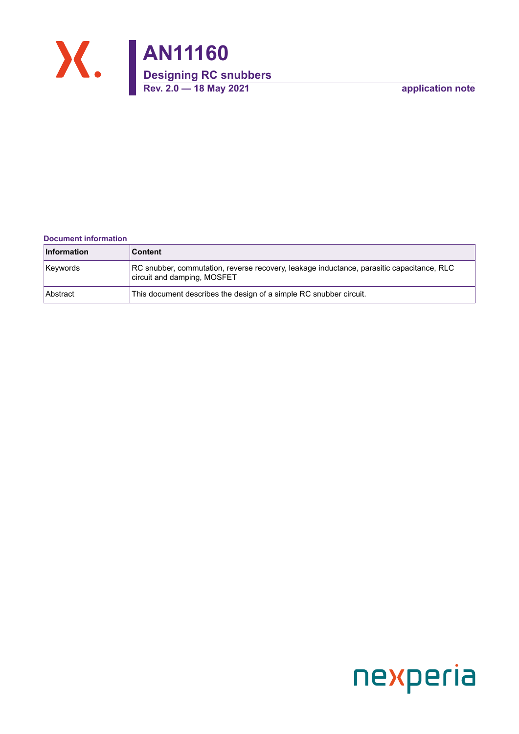

#### **Document information**

| <b>Information</b> | <b>Content</b>                                                                                                           |
|--------------------|--------------------------------------------------------------------------------------------------------------------------|
| Keywords           | RC snubber, commutation, reverse recovery, leakage inductance, parasitic capacitance, RLC<br>circuit and damping, MOSFET |
| ∣Abstract          | This document describes the design of a simple RC snubber circuit.                                                       |

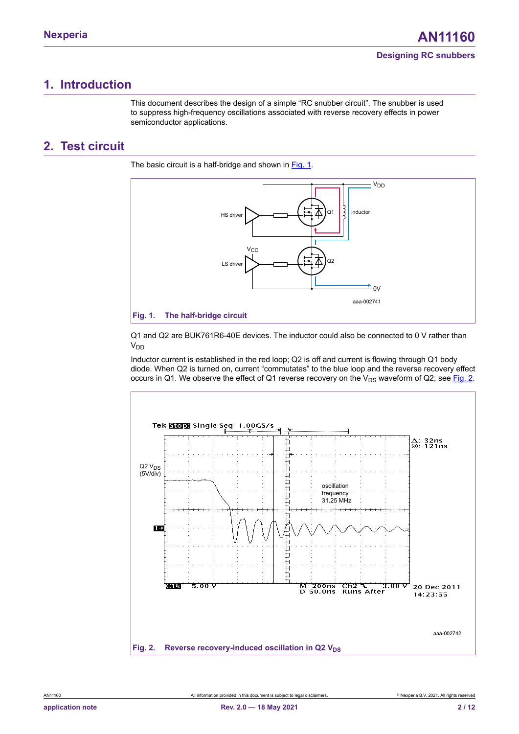## <span id="page-1-2"></span>**1. Introduction**

This document describes the design of a simple "RC snubber circuit". The snubber is used to suppress high-frequency oscillations associated with reverse recovery effects in power semiconductor applications.

## <span id="page-1-3"></span>**2. Test circuit**

The basic circuit is a half-bridge and shown in [Fig. 1.](#page-1-0)

<span id="page-1-0"></span>

Q1 and Q2 are BUK761R6-40E devices. The inductor could also be connected to 0 V rather than V<sub>DD</sub>

Inductor current is established in the red loop; Q2 is off and current is flowing through Q1 body diode. When Q2 is turned on, current "commutates" to the blue loop and the reverse recovery effect occurs in Q1. We observe the effect of Q1 reverse recovery on the  $V_{DS}$  waveform of Q2; see [Fig. 2](#page-1-1).

<span id="page-1-1"></span>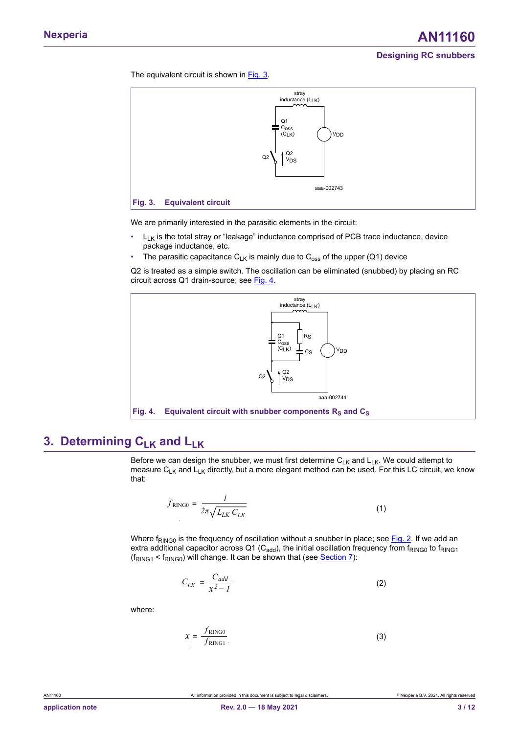### **Designing RC snubbers**

The equivalent circuit is shown in [Fig. 3.](#page-2-0)

<span id="page-2-0"></span>

We are primarily interested in the parasitic elements in the circuit:

- $\bullet$  L<sub>LK</sub> is the total stray or "leakage" inductance comprised of PCB trace inductance, device package inductance, etc.
- The parasitic capacitance  $C_{LK}$  is mainly due to  $C_{oss}$  of the upper (Q1) device

Q2 is treated as a simple switch. The oscillation can be eliminated (snubbed) by placing an RC circuit across Q1 drain-source; see [Fig. 4.](#page-2-1)

<span id="page-2-1"></span>

## <span id="page-2-5"></span>**3. Determining CLK and LLK**

Before we can design the snubber, we must first determine  ${\sf C}_{\sf L K}$  and  ${\sf L}_{\sf L K}$ . We could attempt to measure C<sub>LK</sub> and L<sub>LK</sub> directly, but a more elegant method can be used. For this LC circuit, we know that: *f* **EVA**<br>*F f F* **<b>***F F f F* **<b>***f f f f f f f f f f f f <i>f* **<b>***<i>f <i>f**<i>f***<sub>***x***</sub>** *<i>f**<i>f***<sub>***x***</sub>** *<i>f***<sub>***x***</sub>** *<i>f***<sub>***x***</sub>** *<i>f***<sub>***x***</sub>** *<i>f***<sub>***x***</sub>** *<i>f* 

<span id="page-2-4"></span>
$$
f_{\text{RING0}} = \frac{1}{2\pi\sqrt{L_{LK}C_{LK}}} \tag{1}
$$

Where  $f_{\text{RING0}}$  is the frequency of oscillation without a snubber in place; see [Fig. 2.](#page-1-1) If we add an extra additional capacitor across Q1 (C<sub>add</sub>), the initial oscillation frequency from  $f_{RING0}$  to  $f_{RING1}$  $(f_{\text{RING1}} < f_{\text{RING0}})$  will change. It can be shown that (see **Section 7**):

$$
C_{LK} = \frac{C_{add}}{x^2 - 1} \tag{2}
$$

<span id="page-2-3"></span><span id="page-2-2"></span>where:

$$
x = \frac{f_{\text{RING0}}}{f_{\text{RING1}}} \tag{3}
$$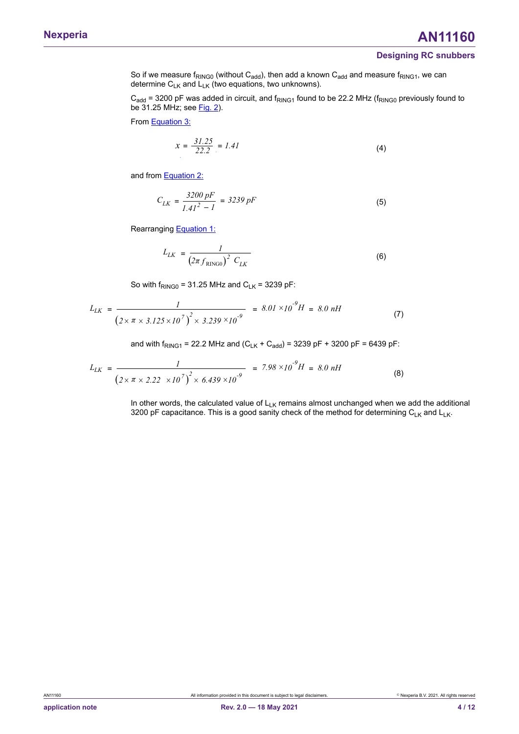#### **Designing RC snubbers**

So if we measure  $f_{\text{RING0}}$  (without  $C_{\text{add}}$ ), then add a known  $C_{\text{add}}$  and measure  $f_{\text{RING1}}$ , we can determine  $C_{LK}$  and  $L_{LK}$  (two equations, two unknowns).

 $C_{add}$  = 3200 pF was added in circuit, and  $f_{RING1}$  found to be 22.2 MHz ( $f_{RING0}$  previously found to be 31.25 MHz; see [Fig. 2](#page-1-1)).

From [Equation 3:](#page-2-2)

$$
x = \frac{31.25}{22.2} = 1.41\tag{4}
$$

and from Equation 2:

$$
C_{LK} = \frac{3200 \, pF}{1.41^2 - 1} = 3239 \, pF \tag{5}
$$

Rearranging Equation 1:

Equation 2:  
\n
$$
LK = \frac{3200 \, pF}{1.41^2 - 1} = 3239 \, pF
$$
\n
$$
L_{LK} = \frac{1}{(2\pi f_{\text{RINGO}})^2 C_{LK}}
$$
\n(6)

So with  $f_{\text{RING0}}$  = 31.25 MHz and  $C_{\text{LK}}$  = 3239 pF:

$$
x = \frac{31.25}{22.2} = 1.41
$$
 (4)  
and from Equation 2:  

$$
C_{LK} = \frac{3200 \text{ pF}}{1.41^2 - 1} = 3239 \text{ pF}
$$
 (5)  
Rearranging Equation 1:  

$$
L_{LK} = \frac{1}{(2\pi f_{\text{RING0}})^2 C_{LK}}
$$
 (6)  
So with f<sub>RING0</sub> = 31.25 MHz and C<sub>LK</sub> = 3239 pF:  

$$
L_{LK} = \frac{1}{(2 \times \pi \times 3.125 \times 10^7)^2 \times 3.239 \times 10^{-9}} = 8.01 \times 10^{-9} H = 8.0 \text{ nH}
$$
 (7)  
and with f<sub>RING1</sub> = 22.2 MHz and (C<sub>LK</sub> + C<sub>add</sub>) = 3239 pF + 3200 pF = 6439 pF:  

$$
L_{LK} = \frac{1}{(2 \times 10^{-9} \text{ J/m/s})^2} = 798 \times 10^{-9} H = 8.0 \text{ nF}
$$

and with  $f_{\text{RING1}}$  = 22.2 MHz and (C<sub>LK</sub> + C<sub>add</sub>) = 3239 pF + 3200 pF = 6439 pF:

$$
C_{LK} = \frac{3200 \, pF}{1.41^2 - 1} = 3239 \, pF
$$
 (5)  
\nRearranging Equation 1:  
\n
$$
L_{LK} = \frac{1}{(2\pi f_{RING0})^2 C_{LK}}
$$
 (6)  
\nSo with f<sub>RING0</sub> = 31.25 MHz and C<sub>LK</sub> = 3239 pF:  
\n
$$
L_{LK} = \frac{1}{(2 \times \pi \times 3.125 \times 10^7)^2 \times 3.239 \times 10^{-9}} = 8.01 \times 10^{-9} H = 8.0 \, nH
$$
 (7)  
\nand with f<sub>RING1</sub> = 22.2 MHz and (C<sub>LK</sub> + C<sub>add</sub>) = 3239 pF + 3200 pF = 6439 pF:  
\n
$$
L_{LK} = \frac{1}{(2 \times \pi \times 2.22 \times 10^7)^2 \times 6.439 \times 10^{-9}} = 7.98 \times 10^{-9} H = 8.0 \, nH
$$
 (8)  
\nIn other words, the calculated value of L<sub>LK</sub> remains almost unchanged when we  
\n3200 pF capacitance. This is a good sanity check of the method for determining

In other words, the calculated value of  $L_{LK}$  remains almost unchanged when we add the additional 3200 pF capacitance. This is a good sanity check of the method for determining  $C_{LK}$  and  $L_{LK}$ .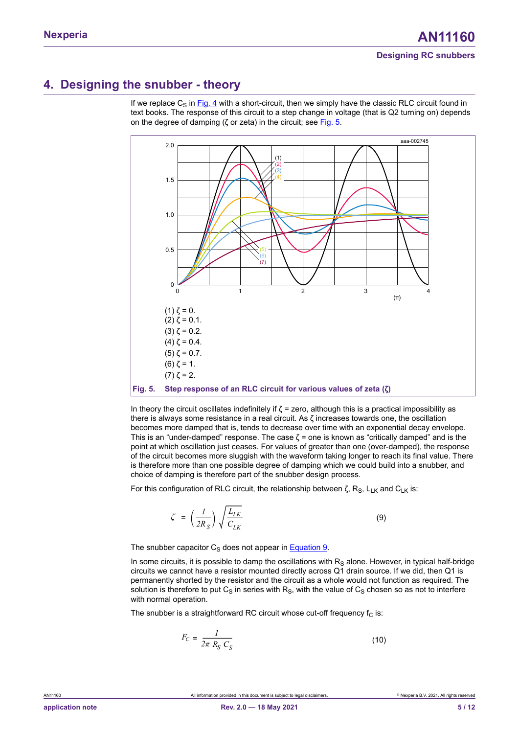## <span id="page-4-2"></span>**4. Designing the snubber - theory**

If we replace  $C_S$  in [Fig. 4](#page-2-1) with a short-circuit, then we simply have the classic RLC circuit found in text books. The response of this circuit to a step change in voltage (that is Q2 turning on) depends on the degree of damping (ζ or zeta) in the circuit; see [Fig. 5.](#page-4-0)

<span id="page-4-0"></span>

In theory the circuit oscillates indefinitely if  $\zeta$  = zero, although this is a practical impossibility as there is always some resistance in a real circuit. As ζ increases towards one, the oscillation becomes more damped that is, tends to decrease over time with an exponential decay envelope. This is an "under-damped" response. The case  $\zeta$  = one is known as "critically damped" and is the point at which oscillation just ceases. For values of greater than one (over-damped), the response of the circuit becomes more sluggish with the waveform taking longer to reach its final value. There is therefore more than one possible degree of damping which we could build into a snubber, and choice of damping is therefore part of the snubber design process.

<span id="page-4-1"></span>For this configuration of RLC circuit, the relationship between  $\zeta$ , R<sub>S</sub>, L<sub>LK</sub> and C<sub>LK</sub> is:

$$
\zeta = \left(\frac{l}{2R_S}\right) \sqrt{\frac{L_{LK}}{C_{LK}}} \tag{9}
$$

The snubber capacitor  $C_S$  does not appear in **Equation 9.** 

In some circuits, it is possible to damp the oscillations with  $R<sub>S</sub>$  alone. However, in typical half-bridge circuits we cannot have a resistor mounted directly across Q1 drain source. If we did, then Q1 is permanently shorted by the resistor and the circuit as a whole would not function as required. The solution is therefore to put  $C_S$  in series with  $R_S$ , with the value of  $C_S$  chosen so as not to interfere with normal operation.

The snubber is a straightforward RC circuit whose cut-off frequency f $_{\rm C}$  is:

Section:

\nis a straightforward RC circuit whose cut-off frequency 
$$
f_C
$$
 is:

\n
$$
F_C = \frac{I}{2\pi R_S C_S}
$$
\n(10)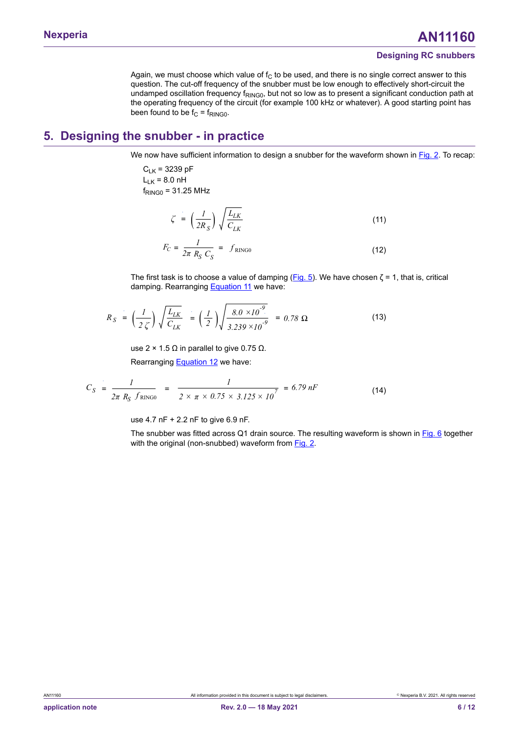#### **Designing RC snubbers**

Again, we must choose which value of  $f_c$  to be used, and there is no single correct answer to this question. The cut-off frequency of the snubber must be low enough to effectively short-circuit the undamped oscillation frequency fRING0, but not so low as to present a significant conduction path at the operating frequency of the circuit (for example 100 kHz or whatever). A good starting point has been found to be  $f_C = f_{RINGO}$ .

## <span id="page-5-1"></span>**5. Designing the snubber - in practice**

We now have sufficient information to design a snubber for the waveform shown in [Fig. 2](#page-1-1). To recap:

 $C_{LK}$  = 3239 pF  $L_{LK}$  = 8.0 nH  $f_{\text{RING}0}$  = 31.25 MHz

<span id="page-5-0"></span>
$$
\zeta = \left(\frac{I}{2R_S}\right) \sqrt{\frac{L_{LK}}{C_{LK}}}
$$
\n
$$
F_C = \frac{I}{2\pi R_S C_S} = f_{RING0}
$$
\n(12)

$$
F_C = \frac{I}{2\pi R_S C_S} = f_{\text{RING0}} \tag{12}
$$

The first task is to choose a value of damping (<u>[Fig. 5](#page-4-0)</u>). We have chosen ζ = 1, that is, critical damping. Rearranging **Equation 11** we have:

$$
r_C = \frac{1}{2\pi R_S C_S} = J_{\text{RINGO}} \tag{12}
$$
\nThe first task is to choose a value of damping (Fig. 5). We have chosen  $\zeta$   
\ndamping. Rearranging Equation 11 we have:  
\n
$$
R_S = \left(\frac{I}{2\zeta}\right) \sqrt{\frac{L_{LK}}{C_{LK}}} = \left(\frac{I}{2}\right) \sqrt{\frac{8.0 \times 10^{-9}}{3.239 \times 10^{-9}}} = 0.78 \text{ }\Omega \tag{13}
$$
\nuse 2 × 1.5  $\Omega$  in parallel to give 0.75  $\Omega$ .  
\nRearranging Equation 12 we have:  
\n
$$
C_S = \frac{I}{2\pi R_S f_{\text{RINGO}}} = \frac{I}{2 \times \pi \times 0.75 \times 3.125 \times 10^7} = 6.79 \text{ nF} \tag{14}
$$
\nuse 4.7 nF + 2.2 nF to give 6.9 nF.  
\nThe subber was fitted across O1 drain source. The resulting waveforms is

use 2 × 1.5 Ω in parallel to give 0.75 Ω.

Rearranging Equation 12 we have:

$$
C_S = \frac{I}{2\pi R_S f_{\text{RINGO}}} = \frac{I}{2 \times \pi \times 0.75 \times 3.125 \times 10^7} = 6.79 nF
$$
 (14)

use 4.7 nF + 2.2 nF to give 6.9 nF.

The snubber was fitted across Q1 drain source. The resulting waveform is shown in [Fig. 6](#page-6-1) together with the original (non-snubbed) waveform from [Fig. 2](#page-1-1).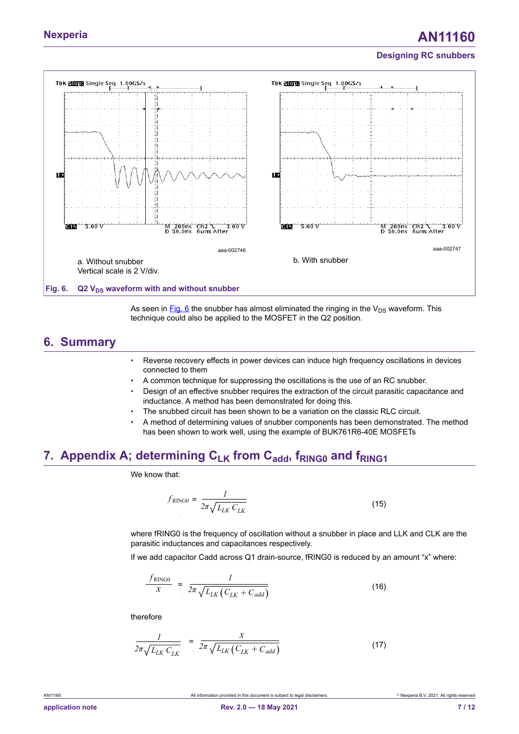# **Nexperia AN11160**

### **Designing RC snubbers**



As seen in [Fig. 6](#page-6-1) the snubber has almost eliminated the ringing in the  $V_{DS}$  waveform. This technique could also be applied to the MOSFET in the Q2 position.

## <span id="page-6-2"></span><span id="page-6-1"></span>**6. Summary**

- Reverse recovery effects in power devices can induce high frequency oscillations in devices connected to them
- A common technique for suppressing the oscillations is the use of an RC snubber.
- Design of an effective snubber requires the extraction of the circuit parasitic capacitance and inductance. A method has been demonstrated for doing this.
- The snubbed circuit has been shown to be a variation on the classic RLC circuit.
- A method of determining values of snubber components has been demonstrated. The method has been shown to work well, using the example of BUK761R6-40E MOSFETs

## <span id="page-6-0"></span>**7. Appendix A; determining CLK from Cadd, fRING0 and fRING1**

We know that:

mining 
$$
C_{LK}
$$
 from  $C_{add}$ ,  $f_{RING0}$  and  $f_{RING1}$ 

\nthat:

\n
$$
f_{RING0} = \frac{I}{2\pi\sqrt{L_{LK}C_{LK}}} \tag{15}
$$

where fRING0 is the frequency of oscillation without a snubber in place and LLK and CLK are the parasitic inductances and capacitances respectively.

If we add capacitor Cadd across Q1 drain-source, fRING0 is reduced by an amount "x" where:

$$
f_{\text{RINGO}} = \frac{1}{2\pi\sqrt{L_{LK}C_{LK}}}
$$
\n
$$
f_{\text{RINGO}} = \frac{1}{2\pi\sqrt{L_{LK}C_{LK}}}
$$
\n
$$
f_{\text{RINGO}} = \frac{1}{2\pi\sqrt{L_{LK}(C_{LK} + C_{add})}}
$$
\n
$$
f_{\text{RINGO}} = \frac{1}{2\pi\sqrt{L_{LK}(C_{LK} + C_{add})}}
$$
\n
$$
f_{\text{RINGO}} = \frac{1}{2\pi\sqrt{L_{LK}(C_{LK} + C_{add})}}
$$
\n
$$
f_{\text{RINGO}} = \frac{1}{2\pi\sqrt{L_{LK}(C_{LK} + C_{add})}}
$$
\n
$$
f_{\text{RINGO}} = \frac{1}{2\pi\sqrt{L_{LK}(C_{LK} + C_{add})}}
$$
\n
$$
f_{\text{RINGO}} = \frac{1}{2\pi\sqrt{L_{LK}(C_{LK} + C_{add})}}
$$
\n
$$
f_{\text{RINGO}} = \frac{1}{2\pi\sqrt{L_{LK}(C_{LK} + C_{add})}}
$$
\n
$$
f_{\text{RINGO}} = \frac{1}{2\pi\sqrt{L_{LK}(C_{LK} + C_{add})}}
$$
\n
$$
f_{\text{RINGO}} = \frac{1}{2\pi\sqrt{L_{LK}(C_{LK} + C_{add})}}
$$
\n
$$
f_{\text{RINGO}} = \frac{1}{2\pi\sqrt{L_{LK}(C_{LK} + C_{add})}}
$$
\n
$$
f_{\text{RINGO}} = \frac{1}{2\pi\sqrt{L_{LK}(C_{LK} + C_{add})}}
$$
\n
$$
f_{\text{RINGO}} = \frac{1}{2\pi\sqrt{L_{LK}(C_{LK} + C_{add})}}
$$
\n
$$
f_{\text{RINGO}} = \frac{1}{2\pi\sqrt{L_{LK}(C_{LK} + C_{add})}}
$$
\n
$$
f_{\text{RINGO}} = \frac{1}{2\pi\sqrt{L_{LK}(C_{LK} + C_{add})}}
$$
\n
$$
f_{\text{RINGO}} = \frac{1}{2\pi\sqrt{L_{LK}(C_{LK} + C_{add})}}
$$
\n
$$
f_{\text{RINGO}} = \frac{1}{2\pi\sqrt{
$$

therefore

$$
\frac{1}{x} = \frac{1}{2\pi \sqrt{L_{LK} (C_{LK} + C_{add})}}
$$
\ntherefore\n
$$
\frac{1}{2\pi \sqrt{L_{LK} C_{LK}}} = \frac{x}{2\pi \sqrt{L_{LK} (C_{LK} + C_{add})}}
$$
\n(17)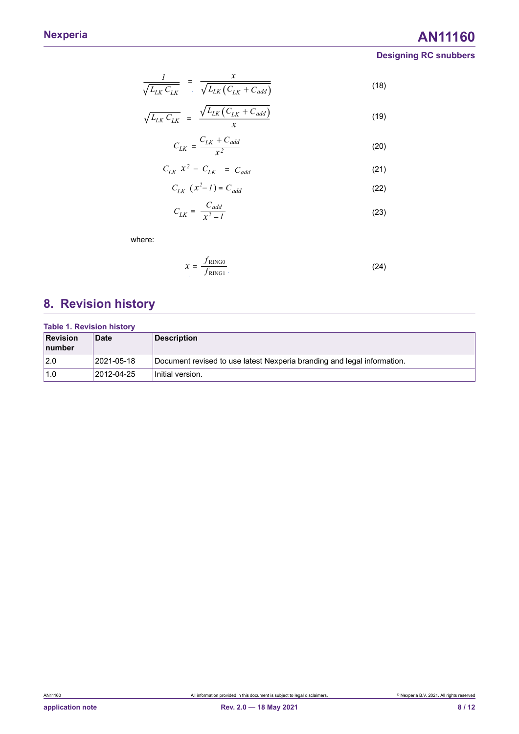# **Nexperia AN11160**

## **Designing RC snubbers**

$$
\frac{1}{\sqrt{L_{LK}C_{LK}}} = \frac{x}{\sqrt{L_{LK}(C_{LK} + C_{add})}}
$$
(18)

$$
\frac{1}{\sqrt{L_{LK}C_{LK}}} = \frac{x}{\sqrt{L_{LK}(C_{LK} + C_{add})}}
$$
(18)  

$$
\sqrt{L_{LK}C_{LK}} = \frac{\sqrt{L_{LK}(C_{LK} + C_{add})}}{x}
$$
(19)  

$$
C_{LK} = \frac{C_{LK} + C_{add}}{x^2}
$$
(20)

$$
C_{LK} = \frac{C_{LK} + C_{add}}{x^2}
$$
 (20)

$$
C_{LK} x^2 - C_{LK} = C_{add}
$$
 (21)

$$
C_{LK} \left( x^2 - I \right) = C_{add} \tag{22}
$$

$$
C_{LK} = \frac{C_{add}}{x^2 - 1} \tag{23}
$$

<span id="page-7-0"></span>where:

$$
x = \frac{f_{\text{RING0}}}{f_{\text{RING1}}} \tag{24}
$$

# <span id="page-7-1"></span>**8. Revision history**

| <b>Table 1. Revision history</b> |             |                                                                         |  |  |  |
|----------------------------------|-------------|-------------------------------------------------------------------------|--|--|--|
| <b>Revision</b><br>number        | <b>Date</b> | <b>Description</b>                                                      |  |  |  |
| 2.0                              | 2021-05-18  | Document revised to use latest Nexperia branding and legal information. |  |  |  |
| 1.0                              | 2012-04-25  | Initial version.                                                        |  |  |  |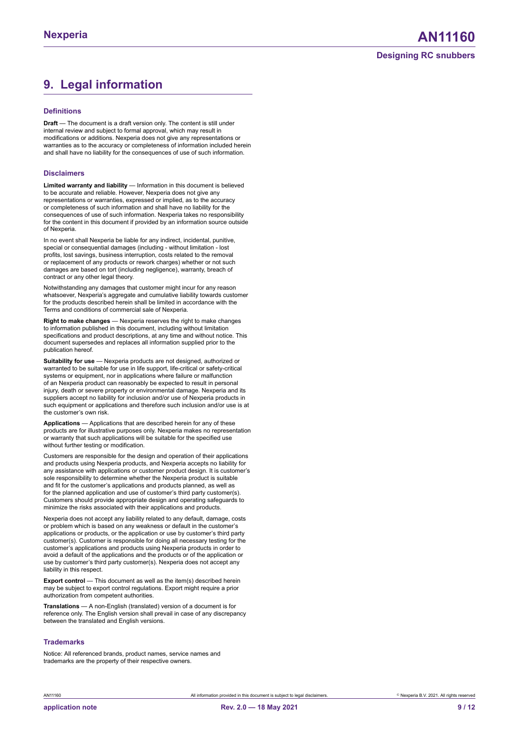# <span id="page-8-0"></span>**9. Legal information**

#### **Definitions**

**Draft** — The document is a draft version only. The content is still under internal review and subject to formal approval, which may result in modifications or additions. Nexperia does not give any representations or warranties as to the accuracy or completeness of information included herein and shall have no liability for the consequences of use of such information.

#### **Disclaimers**

**Limited warranty and liability** — Information in this document is believed to be accurate and reliable. However, Nexperia does not give any representations or warranties, expressed or implied, as to the accuracy or completeness of such information and shall have no liability for the consequences of use of such information. Nexperia takes no responsibility for the content in this document if provided by an information source outside of Nexperia.

In no event shall Nexperia be liable for any indirect, incidental, punitive, special or consequential damages (including - without limitation - lost profits, lost savings, business interruption, costs related to the removal or replacement of any products or rework charges) whether or not such damages are based on tort (including negligence), warranty, breach of contract or any other legal theory.

Notwithstanding any damages that customer might incur for any reason whatsoever, Nexperia's aggregate and cumulative liability towards customer for the products described herein shall be limited in accordance with the Terms and conditions of commercial sale of Nexperia.

**Right to make changes** — Nexperia reserves the right to make changes to information published in this document, including without limitation specifications and product descriptions, at any time and without notice. This document supersedes and replaces all information supplied prior to the publication hereof.

**Suitability for use** — Nexperia products are not designed, authorized or warranted to be suitable for use in life support, life-critical or safety-critical systems or equipment, nor in applications where failure or malfunction of an Nexperia product can reasonably be expected to result in personal injury, death or severe property or environmental damage. Nexperia and its suppliers accept no liability for inclusion and/or use of Nexperia products in such equipment or applications and therefore such inclusion and/or use is at the customer's own risk.

**Applications** — Applications that are described herein for any of these products are for illustrative purposes only. Nexperia makes no representation or warranty that such applications will be suitable for the specified use without further testing or modification.

Customers are responsible for the design and operation of their applications and products using Nexperia products, and Nexperia accepts no liability for any assistance with applications or customer product design. It is customer's sole responsibility to determine whether the Nexperia product is suitable and fit for the customer's applications and products planned, as well as for the planned application and use of customer's third party customer(s). Customers should provide appropriate design and operating safeguards to minimize the risks associated with their applications and products.

Nexperia does not accept any liability related to any default, damage, costs or problem which is based on any weakness or default in the customer's applications or products, or the application or use by customer's third party customer(s). Customer is responsible for doing all necessary testing for the customer's applications and products using Nexperia products in order to avoid a default of the applications and the products or of the application or use by customer's third party customer(s). Nexperia does not accept any liability in this respect.

**Export control** — This document as well as the item(s) described herein may be subject to export control regulations. Export might require a prior authorization from competent authorities.

**Translations** — A non-English (translated) version of a document is for reference only. The English version shall prevail in case of any discrepancy between the translated and English versions.

#### **Trademarks**

Notice: All referenced brands, product names, service names and trademarks are the property of their respective owners.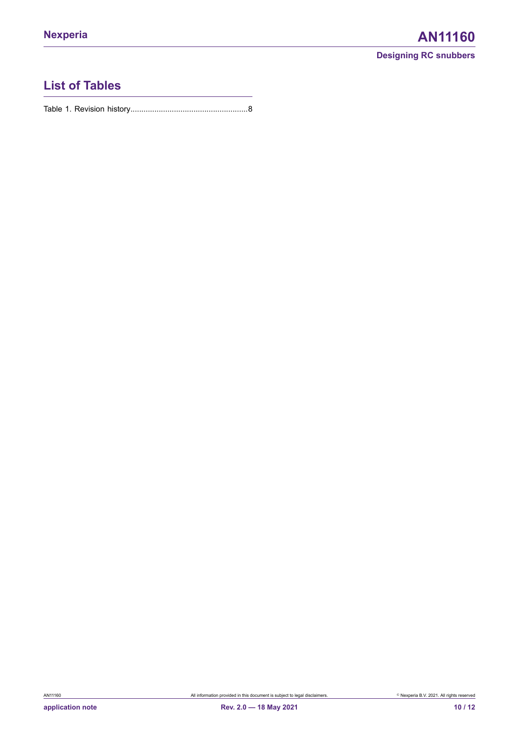# **List of Tables**

Table 1. Revision [history......................................................8](#page-7-0)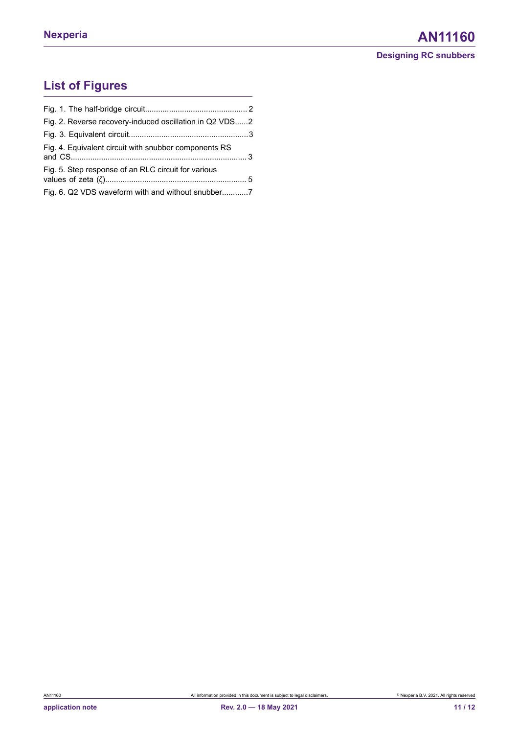# **List of Figures**

| Fig. 2. Reverse recovery-induced oscillation in Q2 VDS2 |  |
|---------------------------------------------------------|--|
|                                                         |  |
| Fig. 4. Equivalent circuit with snubber components RS   |  |
| Fig. 5. Step response of an RLC circuit for various     |  |
| Fig. 6. Q2 VDS waveform with and without snubber7       |  |